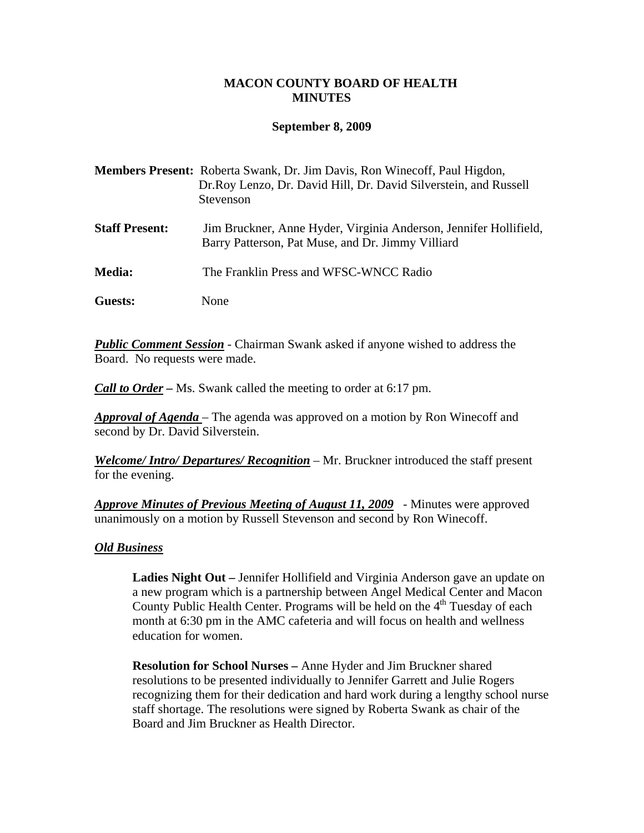## **MACON COUNTY BOARD OF HEALTH MINUTES**

### **September 8, 2009**

|                       | <b>Members Present:</b> Roberta Swank, Dr. Jim Davis, Ron Winecoff, Paul Higdon,<br>Dr.Roy Lenzo, Dr. David Hill, Dr. David Silverstein, and Russell<br>Stevenson |
|-----------------------|-------------------------------------------------------------------------------------------------------------------------------------------------------------------|
| <b>Staff Present:</b> | Jim Bruckner, Anne Hyder, Virginia Anderson, Jennifer Hollifield,<br>Barry Patterson, Pat Muse, and Dr. Jimmy Villiard                                            |
| <b>Media:</b>         | The Franklin Press and WFSC-WNCC Radio                                                                                                                            |
| Guests:               | None                                                                                                                                                              |

*Public Comment Session* - Chairman Swank asked if anyone wished to address the Board. No requests were made.

*Call to Order –* Ms. Swank called the meeting to order at 6:17 pm.

*Approval of Agenda* – The agenda was approved on a motion by Ron Winecoff and second by Dr. David Silverstein.

*Welcome/ Intro/ Departures/ Recognition* – Mr. Bruckner introduced the staff present for the evening.

*Approve Minutes of Previous Meeting of August 11, 2009* - Minutes were approved unanimously on a motion by Russell Stevenson and second by Ron Winecoff.

### *Old Business*

- **Ladies Night Out** Jennifer Hollifield and Virginia Anderson gave an update on a new program which is a partnership between Angel Medical Center and Macon County Public Health Center. Programs will be held on the 4<sup>th</sup> Tuesday of each month at 6:30 pm in the AMC cafeteria and will focus on health and wellness education for women.
- **Resolution for School Nurses** Anne Hyder and Jim Bruckner shared resolutions to be presented individually to Jennifer Garrett and Julie Rogers recognizing them for their dedication and hard work during a lengthy school nurse staff shortage. The resolutions were signed by Roberta Swank as chair of the Board and Jim Bruckner as Health Director.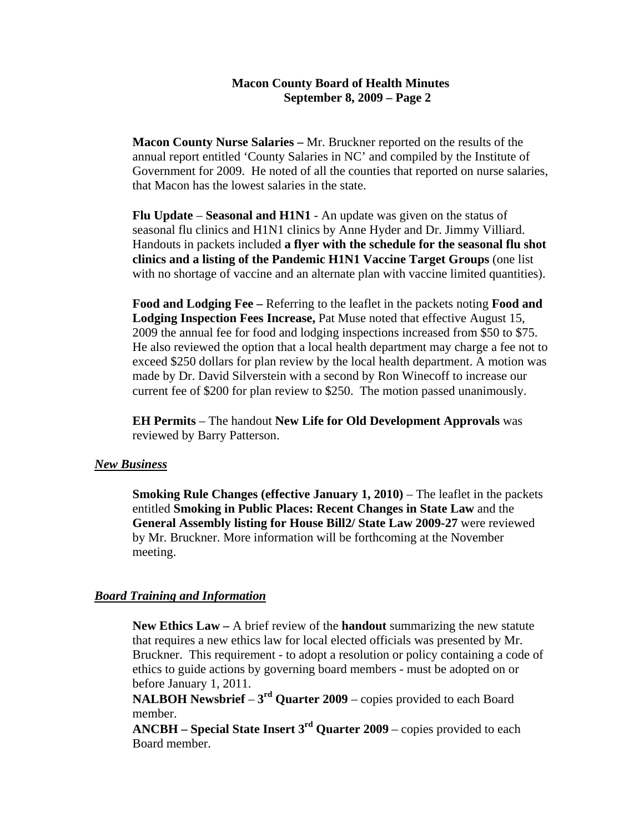# **Macon County Board of Health Minutes September 8, 2009 – Page 2**

- **Macon County Nurse Salaries** Mr. Bruckner reported on the results of the annual report entitled 'County Salaries in NC' and compiled by the Institute of Government for 2009. He noted of all the counties that reported on nurse salaries, that Macon has the lowest salaries in the state.
- Flu Update **Seasonal and H1N1** An update was given on the status of seasonal flu clinics and H1N1 clinics by Anne Hyder and Dr. Jimmy Villiard. Handouts in packets included **a flyer with the schedule for the seasonal flu shot clinics and a listing of the Pandemic H1N1 Vaccine Target Groups** (one list with no shortage of vaccine and an alternate plan with vaccine limited quantities).
- **Food and Lodging Fee** Referring to the leaflet in the packets noting **Food and Lodging Inspection Fees Increase,** Pat Muse noted that effective August 15, 2009 the annual fee for food and lodging inspections increased from \$50 to \$75. He also reviewed the option that a local health department may charge a fee not to exceed \$250 dollars for plan review by the local health department. A motion was made by Dr. David Silverstein with a second by Ron Winecoff to increase our current fee of \$200 for plan review to \$250. The motion passed unanimously.
- **EH Permits**  The handout **New Life for Old Development Approvals** was reviewed by Barry Patterson.

### *New Business*

• **Smoking Rule Changes (effective January 1, 2010)** – The leaflet in the packets entitled **Smoking in Public Places: Recent Changes in State Law** and the **General Assembly listing for House Bill2/ State Law 2009-27** were reviewed by Mr. Bruckner. More information will be forthcoming at the November meeting.

# *Board Training and Information*

- **New Ethics Law** A brief review of the **handout** summarizing the new statute that requires a new ethics law for local elected officials was presented by Mr. Bruckner. This requirement - to adopt a resolution or policy containing a code of ethics to guide actions by governing board members - must be adopted on or before January 1, 2011.
- **NALBOH Newsbrief**  $3^{rd}$  Quarter 2009 copies provided to each Board member.
- **ANCBH Special State Insert 3<sup>rd</sup> Quarter 2009** copies provided to each Board member.